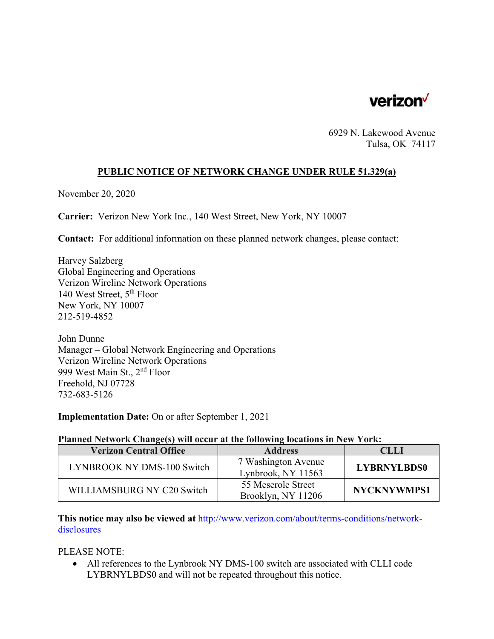

6929 N. Lakewood Avenue Tulsa, OK 74117

## **PUBLIC NOTICE OF NETWORK CHANGE UNDER RULE 51.329(a)**

November 20, 2020

**Carrier:** Verizon New York Inc., 140 West Street, New York, NY 10007

**Contact:** For additional information on these planned network changes, please contact:

Harvey Salzberg Global Engineering and Operations Verizon Wireline Network Operations 140 West Street, 5th Floor New York, NY 10007 212-519-4852

John Dunne Manager – Global Network Engineering and Operations Verizon Wireline Network Operations 999 West Main St., 2nd Floor Freehold, NJ 07728 732-683-5126

**Implementation Date:** On or after September 1, 2021

## **Planned Network Change(s) will occur at the following locations in New York:**

| <b>Verizon Central Office</b> | <b>Address</b>                            | CLLI               |
|-------------------------------|-------------------------------------------|--------------------|
| LYNBROOK NY DMS-100 Switch    | 7 Washington Avenue<br>Lynbrook, NY 11563 | <b>LYBRNYLBDS0</b> |
| WILLIAMSBURG NY C20 Switch    | 55 Meserole Street<br>Brooklyn, NY 11206  | <b>NYCKNYWMPS1</b> |

**This notice may also be viewed at** http://www.verizon.com/about/terms-conditions/networkdisclosures

PLEASE NOTE:

 All references to the Lynbrook NY DMS-100 switch are associated with CLLI code LYBRNYLBDS0 and will not be repeated throughout this notice.